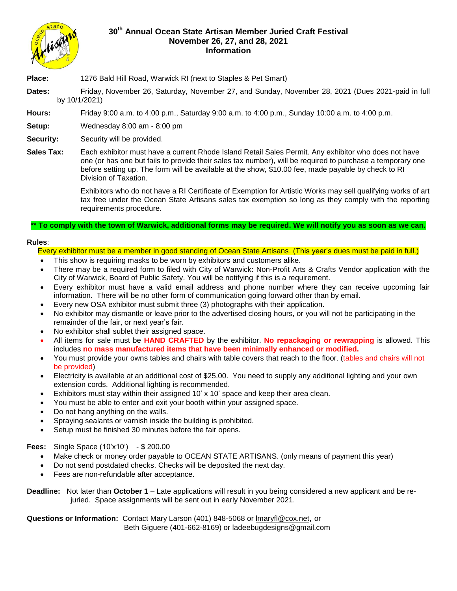

## **30th Annual Ocean State Artisan Member Juried Craft Festival November 26, 27, and 28, 2021 Information**

**Place:** 1276 Bald Hill Road, Warwick RI (next to Staples & Pet Smart)

**Dates:** Friday, November 26, Saturday, November 27, and Sunday, November 28, 2021 (Dues 2021-paid in full by 10/1/2021)

**Hours:** Friday 9:00 a.m. to 4:00 p.m., Saturday 9:00 a.m. to 4:00 p.m., Sunday 10:00 a.m. to 4:00 p.m.

**Setup:** Wednesday 8:00 am - 8:00 pm

**Security:** Security will be provided.

**Sales Tax:** Each exhibitor must have a current Rhode Island Retail Sales Permit. Any exhibitor who does not have one (or has one but fails to provide their sales tax number), will be required to purchase a temporary one before setting up. The form will be available at the show, \$10.00 fee, made payable by check to RI Division of Taxation.

> Exhibitors who do not have a RI Certificate of Exemption for Artistic Works may sell qualifying works of art tax free under the Ocean State Artisans sales tax exemption so long as they comply with the reporting requirements procedure.

## **\*\* To comply with the town of Warwick, additional forms may be required. We will notify you as soon as we can.**

## **Rules**:

Every exhibitor must be a member in good standing of Ocean State Artisans. (This year's dues must be paid in full.)

- This show is requiring masks to be worn by exhibitors and customers alike.
- There may be a required form to filed with City of Warwick: Non-Profit Arts & Crafts Vendor application with the City of Warwick, Board of Public Safety. You will be notifying if this is a requirement.
- Every exhibitor must have a valid email address and phone number where they can receive upcoming fair information. There will be no other form of communication going forward other than by email.
- Every new OSA exhibitor must submit three (3) photographs with their application.
- No exhibitor may dismantle or leave prior to the advertised closing hours, or you will not be participating in the remainder of the fair, or next year's fair.
- No exhibitor shall sublet their assigned space.
- All items for sale must be **HAND CRAFTED** by the exhibitor. **No repackaging or rewrapping** is allowed. This includes **no mass manufactured items that have been minimally enhanced or modified.**
- You must provide your owns tables and chairs with table covers that reach to the floor. (tables and chairs will not be provided)
- Electricity is available at an additional cost of \$25.00. You need to supply any additional lighting and your own extension cords. Additional lighting is recommended.
- Exhibitors must stay within their assigned 10' x 10' space and keep their area clean.
- You must be able to enter and exit your booth within your assigned space.
- Do not hang anything on the walls.
- Spraying sealants or varnish inside the building is prohibited.
- Setup must be finished 30 minutes before the fair opens.

**Fees:** Single Space (10'x10') - \$ 200.00

- Make check or money order payable to OCEAN STATE ARTISANS. (only means of payment this year)
- Do not send postdated checks. Checks will be deposited the next day.
- Fees are non-refundable after acceptance.

**Deadline:** Not later than **October 1** – Late applications will result in you being considered a new applicant and be rejuried. Space assignments will be sent out in early November 2021.

**Questions or Information:** Contact Mary Larson (401) 848-5068 or [lmaryfl@cox.net](mailto:lmaryfl@cox.net), or Beth Giguere (401-662-8169) or ladeebugdesigns@gmail.com